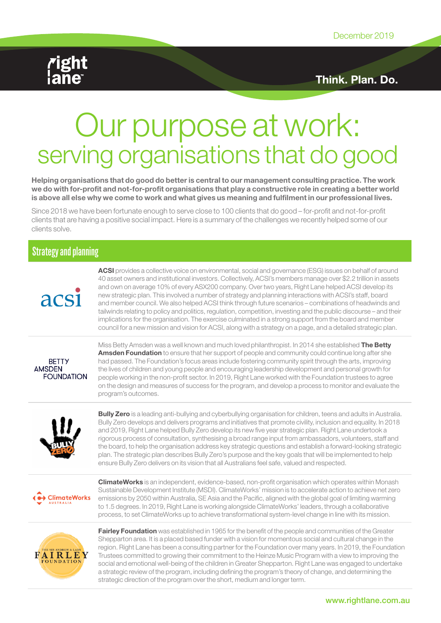

Think. Plan. Do.

# Our purpose at work: serving organisations that do good

Helping organisations that do good do better is central to our management consulting practice. The work we do with for-profit and not-for-profit organisations that play a constructive role in creating a better world is above all else why we come to work and what gives us meaning and fulfilment in our professional lives.

Since 2018 we have been fortunate enough to serve close to 100 clients that do good – for-profit and not-for-profit clients that are having a positive social impact. Here is a summary of the challenges we recently helped some of our clients solve.

#### Strategy and planning



ACSI provides a collective voice on environmental, social and governance (ESG) issues on behalf of around 40 asset owners and institutional investors. Collectively, ACSI's members manage over \$2.2 trillion in assets and own on average 10% of every ASX200 company. Over two years, Right Lane helped ACSI develop its new strategic plan. This involved a number of strategy and planning interactions with ACSI's staff, board and member council. We also helped ACSI think through future scenarios – combinations of headwinds and tailwinds relating to policy and politics, regulation, competition, investing and the public discourse – and their implications for the organisation. The exercise culminated in a strong support from the board and member council for a new mission and vision for ACSI, along with a strategy on a page, and a detailed strategic plan.



Miss Betty Amsden was a well known and much loved philanthropist. In 2014 she established The Betty **Amsden Foundation** to ensure that her support of people and community could continue long after she had passed. The Foundation's focus areas include fostering community spirit through the arts, improving the lives of children and young people and encouraging leadership development and personal growth for people working in the non-profit sector. In 2019, Right Lane worked with the Foundation trustees to agree on the design and measures of success for the program, and develop a process to monitor and evaluate the program's outcomes.



Bully Zero is a leading anti-bullying and cyberbullying organisation for children, teens and adults in Australia. Bully Zero develops and delivers programs and initiatives that promote civility, inclusion and equality. In 2018 and 2019, Right Lane helped Bully Zero develop its new five year strategic plan. Right Lane undertook a rigorous process of consultation, synthesising a broad range input from ambassadors, volunteers, staff and the board, to help the organisation address key strategic questions and establish a forward-looking strategic plan. The strategic plan describes Bully Zero's purpose and the key goals that will be implemented to help ensure Bully Zero delivers on its vision that all Australians feel safe, valued and respected.



**ClimateWorks** is an independent, evidence-based, non-profit organisation which operates within Monash Sustainable Development Institute (MSDI). ClimateWorks' mission is to accelerate action to achieve net zero emissions by 2050 within Australia, SE Asia and the Pacific, aligned with the global goal of limiting warming to 1.5 degrees. In 2019, Right Lane is working alongside ClimateWorks' leaders, through a collaborative process, to set ClimateWorks up to achieve transformational system-level change in line with its mission.



Fairley Foundation was established in 1965 for the benefit of the people and communities of the Greater Shepparton area. It is a placed based funder with a vision for momentous social and cultural change in the region. Right Lane has been a consulting partner for the Foundation over many years. In 2019, the Foundation Trustees committed to growing their commitment to the Heinze Music Program with a view to improving the social and emotional well-being of the children in Greater Shepparton. Right Lane was engaged to undertake a strategic review of the program, including defining the program's theory of change, and determining the strategic direction of the program over the short, medium and longer term.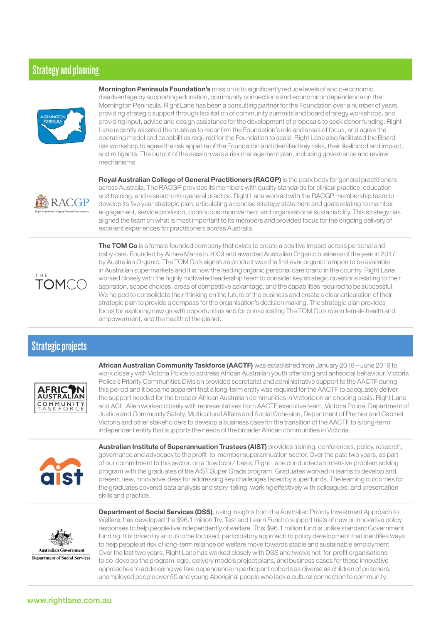### Strategy and planning



**Mornington Peninsula Foundation's** mission is to significantly reduce levels of socio-economic disadvantage by supporting education, community connections and economic independence on the Mornington Peninsula. Right Lane has been a consulting partner for the Foundation over a number of years, providing strategic support through facilitation of community summits and board strategy workshops, and providing input, advice and design assistance for the development of proposals to seek donor funding. Right Lane recently assisted the trustees to reconfirm the Foundation's role and areas of focus, and agree the operating model and capabilities required for the Foundation to scale. Right Lane also facilitated the Board risk workshop to agree the risk appetite of the Foundation and identified key risks, their likelihood and impact, and mitigants. The output of the session was a risk management plan, including governance and review mechanisms.



Royal Australian College of General Practitioners (RACGP) is the peak body for general practitioners across Australia. The RACGP provides its members with quality standards for clinical practice, education and training, and research into general practice. Right Lane worked with the RACGP membership team to develop its five year strategic plan, articulating a concise strategy statement and goals relating to member engagement, service provision, continuous improvement and organisational sustainability. This strategy has aligned the team on what is most important to its members and provided focus for the ongoing delivery of excellent experiences for practitioners across Australia.



The TOM Co is a female founded company that exists to create a positive impact across personal and baby care. Founded by Aimee Marks in 2009 and awarded Australian Organic business of the year in 2017 by Australian Organic, The TOM Co's signature product was the first ever organic tampon to be available in Australian supermarkets and it is now the leading organic personal care brand in the country. Right Lane worked closely with the highly motivated leadership team to consider key strategic questions relating to their aspiration, scope choices, areas of competitive advantage, and the capabilities required to be successful. We helped to consolidate their thinking on the future of the business and create a clear articulation of their strategic plan to provide a compass for the organisation's decision making. The strategic plan provides focus for exploring new growth opportunities and for consolidating The TOM Co's role in female health and empowerment, and the health of the planet.

## Strategic projects



African Australian Community Taskforce (AACTF) was established from January 2018 – June 2019 to work closely with Victoria Police to address African Australian youth offending and antisocial behaviour. Victoria Police's Priority Communities Division provided secretariat and administrative support to the AACTF during this period and it became apparent that a long-term entity was required for the AACTF to adequately deliver the support needed for the broader African Australian communities in Victoria on an ongoing basis. Right Lane and ACIL Allen worked closely with representatives from AACTF executive team, Victoria Police, Department of Justice and Community Safety, Multicultural Affairs and Social Cohesion, Department of Premier and Cabinet Victoria and other stakeholders to develop a business case for the transition of the AACTF to a long-term independent entity that supports the needs of the broader African communities in Victoria.



Australian Institute of Superannuation Trustees (AIST) provides training, conferences, policy, research, governance and advocacy to the profit-to-member superannuation sector. Over the past two years, as part of our commitment to this sector, on a 'low bono' basis, Right Lane conducted an intensive problem solving program with the graduates of the AIST Super Grads program. Graduates worked in teams to develop and present new, innovative ideas for addressing key challenges faced by super funds. The learning outcomes for the graduates covered data analysis and story-telling, working effectively with colleagues, and presentation skills and practice.



Department of Social Services (DSS), using insights from the Australian Priority Investment Approach to Welfare, has developed the \$96.1 million Try, Test and Learn Fund to support trials of new or innovative policy responses to help people live independently of welfare. This \$96.1 million fund is unlike standard Government funding. It is driven by an outcome focused, participatory approach to policy development that identifies ways to help people at risk of long-term reliance on welfare move towards stable and sustainable employment. Over the last two years, Right Lane has worked closely with DSS and twelve not-for-profit organisations to co-develop the program logic, delivery models project plans, and business cases for these innovative approaches to addressing welfare dependence in participant cohorts as diverse as children of prisoners, unemployed people over 50 and young Aboriginal people who lack a cultural connection to community.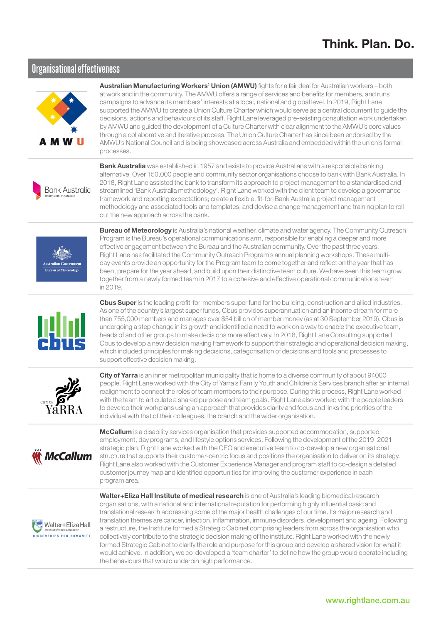## Think. Plan. Do.

#### Organisational effectiveness



Australian Manufacturing Workers' Union (AMWU) fights for a fair deal for Australian workers - both at work and in the community. The AMWU offers a range of services and benefits for members, and runs campaigns to advance its members' interests at a local, national and global level. In 2019, Right Lane supported the AMWU to create a Union Culture Charter which would serve as a central document to guide the decisions, actions and behaviours of its staff. Right Lane leveraged pre-existing consultation work undertaken by AMWU and guided the development of a Culture Charter with clear alignment to the AMWU's core values through a collaborative and iterative process. The Union Culture Charter has since been endorsed by the AMWU's National Council and is being showcased across Australia and embedded within the union's formal processes.



Bank Australia was established in 1957 and exists to provide Australians with a responsible banking alternative. Over 150,000 people and community sector organisations choose to bank with Bank Australia. In 2018, Right Lane assisted the bank to transform its approach to project management to a standardised and streamlined 'Bank Australia methodology'. Right Lane worked with the client team to develop a governance framework and reporting expectations; create a flexible, fit-for-Bank Australia project management methodology and associated tools and templates; and devise a change management and training plan to roll out the new approach across the bank.



**Bureau of Meteorology** is Australia's national weather, climate and water agency. The Community Outreach Program is the Bureau's operational communications arm, responsible for enabling a deeper and more effective engagement between the Bureau and the Australian community. Over the past three years, Right Lane has facilitated the Community Outreach Program's annual planning workshops. These multiday events provide an opportunity for the Program team to come together and reflect on the year that has been, prepare for the year ahead, and build upon their distinctive team culture. We have seen this team grow together from a newly formed team in 2017 to a cohesive and effective operational communications team in 2019.



Cbus Super is the leading profit-for-members super fund for the building, construction and allied industries. As one of the country's largest super funds, Cbus provides superannuation and an income stream for more than 755,000 members and manages over \$54 billion of member money (as at 30 September 2019). Cbus is undergoing a step change in its growth and identified a need to work on a way to enable the executive team, heads of and other groups to make decisions more effectively. In 2018, Right Lane Consulting supported Cbus to develop a new decision making framework to support their strategic and operational decision making, which included principles for making decisions, categorisation of decisions and tools and processes to support effective decision making.



City of Yarra is an inner metropolitan municipality that is home to a diverse community of about 94000 people. Right Lane worked with the City of Yarra's Family Youth and Children's Services branch after an internal realignment to connect the roles of team members to their purpose. During this process, Right Lane worked with the team to articulate a shared purpose and team goals. Right Lane also worked with the people leaders to develop their workplans using an approach that provides clarity and focus and links the priorities of the individual with that of their colleagues, the branch and the wider organisation.



**McCallum** is a disability services organisation that provides supported accommodation, supported employment, day programs, and lifestyle options services. Following the development of the 2019–2021 strategic plan, Right Lane worked with the CEO and executive team to co-develop a new organisational structure that supports their customer-centric focus and positions the organisation to deliver on its strategy. Right Lane also worked with the Customer Experience Manager and program staff to co-design a detailed customer journey map and identified opportunities for improving the customer experience in each program area.



Walter+Eliza Hall Institute of medical research is one of Australia's leading biomedical research organisations, with a national and international reputation for performing highly influential basic and translational research addressing some of the major health challenges of our time. Its major research and translation themes are cancer, infection, inflammation, immune disorders, development and ageing. Following a restructure, the Institute formed a Strategic Cabinet comprising leaders from across the organisation who collectively contribute to the strategic decision making of the institute. Right Lane worked with the newly formed Strategic Cabinet to clarify the role and purpose for this group and develop a shared vision for what it would achieve. In addition, we co-developed a 'team charter' to define how the group would operate including the behaviours that would underpin high performance.